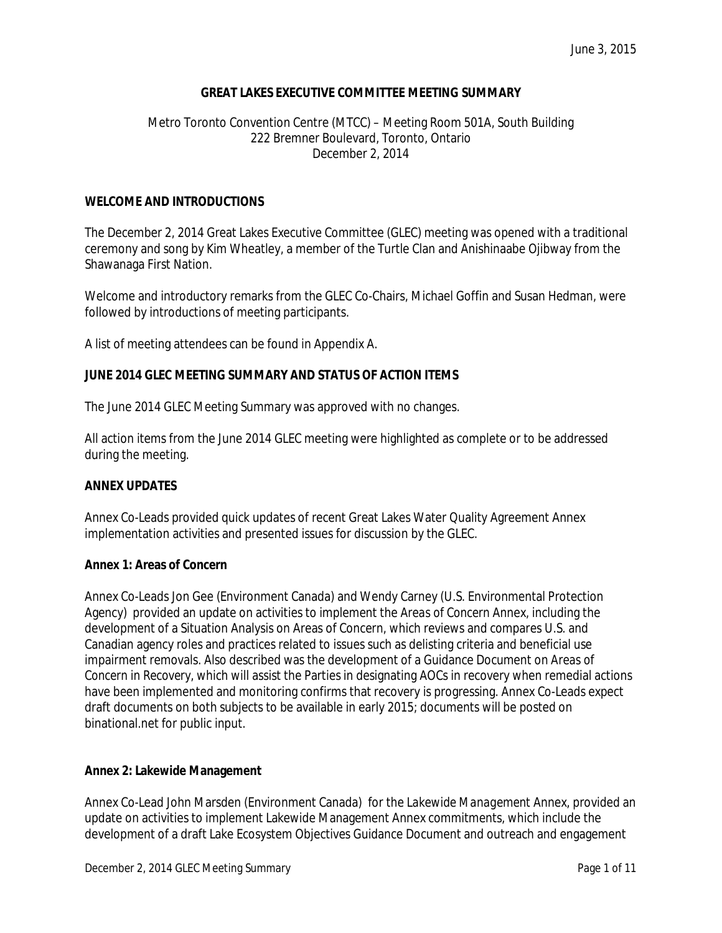# **GREAT LAKES EXECUTIVE COMMITTEE MEETING SUMMARY**

# Metro Toronto Convention Centre (MTCC) – Meeting Room 501A, South Building 222 Bremner Boulevard, Toronto, Ontario December 2, 2014

### **WELCOME AND INTRODUCTIONS**

The December 2, 2014 Great Lakes Executive Committee (GLEC) meeting was opened with a traditional ceremony and song by Kim Wheatley, a member of the Turtle Clan and Anishinaabe Ojibway from the Shawanaga First Nation.

Welcome and introductory remarks from the GLEC Co-Chairs, Michael Goffin and Susan Hedman, were followed by introductions of meeting participants.

A list of meeting attendees can be found in Appendix A.

### **JUNE 2014 GLEC MEETING SUMMARY AND STATUS OF ACTION ITEMS**

The June 2014 GLEC Meeting Summary was approved with no changes.

All action items from the June 2014 GLEC meeting were highlighted as complete or to be addressed during the meeting.

#### **ANNEX UPDATES**

Annex Co-Leads provided quick updates of recent Great Lakes Water Quality Agreement Annex implementation activities and presented issues for discussion by the GLEC.

#### **Annex 1: Areas of Concern**

Annex Co-Leads Jon Gee (Environment Canada) and Wendy Carney (U.S. Environmental Protection Agency) provided an update on activities to implement the *Areas of Concern* Annex, including the development of a Situation Analysis on Areas of Concern, which reviews and compares U.S. and Canadian agency roles and practices related to issues such as delisting criteria and beneficial use impairment removals. Also described was the development of a Guidance Document on *Areas of Concern in Recovery*, which will assist the Parties in designating AOCs in recovery when remedial actions have been implemented and monitoring confirms that recovery is progressing. Annex Co-Leads expect draft documents on both subjects to be available in early 2015; documents will be posted on binational.net for public input.

#### **Annex 2: Lakewide Management**

Annex Co-Lead John Marsden (Environment Canada) for the *Lakewide Management* Annex, provided an update on activities to implement Lakewide Management Annex commitments, which include the development of a draft Lake Ecosystem Objectives Guidance Document and outreach and engagement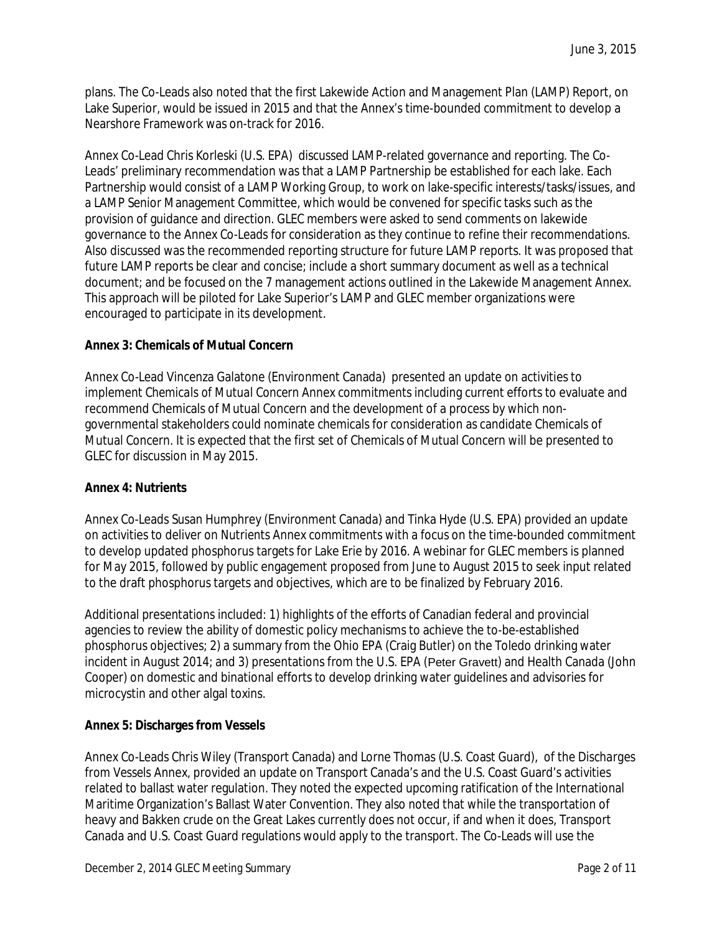plans. The Co-Leads also noted that the first Lakewide Action and Management Plan (LAMP) Report, on Lake Superior, would be issued in 2015 and that the Annex's time-bounded commitment to develop a Nearshore Framework was on-track for 2016.

Annex Co-Lead Chris Korleski (U.S. EPA) discussed LAMP-related governance and reporting. The Co-Leads' preliminary recommendation was that a LAMP Partnership be established for each lake. Each Partnership would consist of a LAMP Working Group, to work on lake-specific interests/tasks/issues, and a LAMP Senior Management Committee, which would be convened for specific tasks such as the provision of guidance and direction. GLEC members were asked to send comments on lakewide governance to the Annex Co-Leads for consideration as they continue to refine their recommendations. Also discussed was the recommended reporting structure for future LAMP reports. It was proposed that future LAMP reports be clear and concise; include a short summary document as well as a technical document; and be focused on the 7 management actions outlined in the Lakewide Management Annex. This approach will be piloted for Lake Superior's LAMP and GLEC member organizations were encouraged to participate in its development.

# **Annex 3: Chemicals of Mutual Concern**

Annex Co-Lead Vincenza Galatone (Environment Canada) presented an update on activities to implement *Chemicals of Mutual Concern* Annex commitments including current efforts to evaluate and recommend Chemicals of Mutual Concern and the development of a process by which nongovernmental stakeholders could nominate chemicals for consideration as candidate Chemicals of Mutual Concern. It is expected that the first set of Chemicals of Mutual Concern will be presented to GLEC for discussion in May 2015.

# **Annex 4: Nutrients**

Annex Co-Leads Susan Humphrey (Environment Canada) and Tinka Hyde (U.S. EPA) provided an update on activities to deliver on *Nutrients* Annex commitments with a focus on the time-bounded commitment to develop updated phosphorus targets for Lake Erie by 2016. A webinar for GLEC members is planned for May 2015, followed by public engagement proposed from June to August 2015 to seek input related to the draft phosphorus targets and objectives, which are to be finalized by February 2016.

Additional presentations included: 1) highlights of the efforts of Canadian federal and provincial agencies to review the ability of domestic policy mechanisms to achieve the to-be-established phosphorus objectives; 2) a summary from the Ohio EPA (Craig Butler) on the Toledo drinking water incident in August 2014; and 3) presentations from the U.S. EPA (Peter Gravett) and Health Canada (John Cooper) on domestic and binational efforts to develop drinking water guidelines and advisories for microcystin and other algal toxins.

# **Annex 5: Discharges from Vessels**

Annex Co-Leads Chris Wiley (Transport Canada) and Lorne Thomas (U.S. Coast Guard), of the *Discharges from Vessels* Annex, provided an update on Transport Canada's and the U.S. Coast Guard's activities related to ballast water regulation. They noted the expected upcoming ratification of the International Maritime Organization's Ballast Water Convention. They also noted that while the transportation of heavy and Bakken crude on the Great Lakes currently does not occur, if and when it does, Transport Canada and U.S. Coast Guard regulations would apply to the transport. The Co-Leads will use the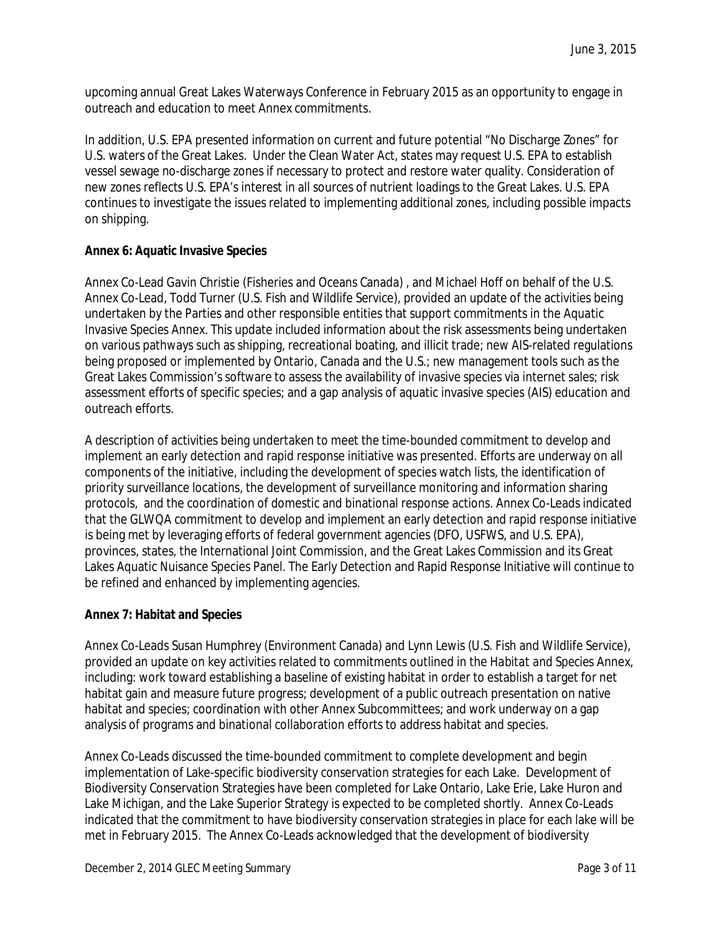upcoming annual Great Lakes Waterways Conference in February 2015 as an opportunity to engage in outreach and education to meet Annex commitments.

In addition, U.S. EPA presented information on current and future potential "No Discharge Zones" for U.S. waters of the Great Lakes. Under the Clean Water Act, states may request U.S. EPA to establish vessel sewage no-discharge zones if necessary to protect and restore water quality. Consideration of new zones reflects U.S. EPA's interest in all sources of nutrient loadings to the Great Lakes. U.S. EPA continues to investigate the issues related to implementing additional zones, including possible impacts on shipping.

# **Annex 6: Aquatic Invasive Species**

Annex Co-Lead Gavin Christie (Fisheries and Oceans Canada) , and Michael Hoff on behalf of the U.S. Annex Co-Lead, Todd Turner (U.S. Fish and Wildlife Service), provided an update of the activities being undertaken by the Parties and other responsible entities that support commitments in the *Aquatic Invasive Species* Annex. This update included information about the risk assessments being undertaken on various pathways such as shipping, recreational boating, and illicit trade; new AIS-related regulations being proposed or implemented by Ontario, Canada and the U.S.; new management tools such as the Great Lakes Commission's software to assess the availability of invasive species via internet sales; risk assessment efforts of specific species; and a gap analysis of aquatic invasive species (AIS) education and outreach efforts.

A description of activities being undertaken to meet the time-bounded commitment to develop and implement an early detection and rapid response initiative was presented. Efforts are underway on all components of the initiative, including the development of species watch lists, the identification of priority surveillance locations, the development of surveillance monitoring and information sharing protocols, and the coordination of domestic and binational response actions. Annex Co-Leads indicated that the GLWQA commitment to develop and implement an early detection and rapid response initiative is being met by leveraging efforts of federal government agencies (DFO, USFWS, and U.S. EPA), provinces, states, the International Joint Commission, and the Great Lakes Commission and its Great Lakes Aquatic Nuisance Species Panel. The Early Detection and Rapid Response Initiative will continue to be refined and enhanced by implementing agencies.

# **Annex 7: Habitat and Species**

Annex Co-Leads Susan Humphrey (Environment Canada) and Lynn Lewis (U.S. Fish and Wildlife Service), provided an update on key activities related to commitments outlined in the *Habitat and Species* Annex, including: work toward establishing a baseline of existing habitat in order to establish a target for net habitat gain and measure future progress; development of a public outreach presentation on native habitat and species; coordination with other Annex Subcommittees; and work underway on a gap analysis of programs and binational collaboration efforts to address habitat and species.

Annex Co-Leads discussed the time-bounded commitment to complete development and begin implementation of Lake-specific biodiversity conservation strategies for each Lake. Development of Biodiversity Conservation Strategies have been completed for Lake Ontario, Lake Erie, Lake Huron and Lake Michigan, and the Lake Superior Strategy is expected to be completed shortly. Annex Co-Leads indicated that the commitment to have biodiversity conservation strategies in place for each lake will be met in February 2015. The Annex Co-Leads acknowledged that the development of biodiversity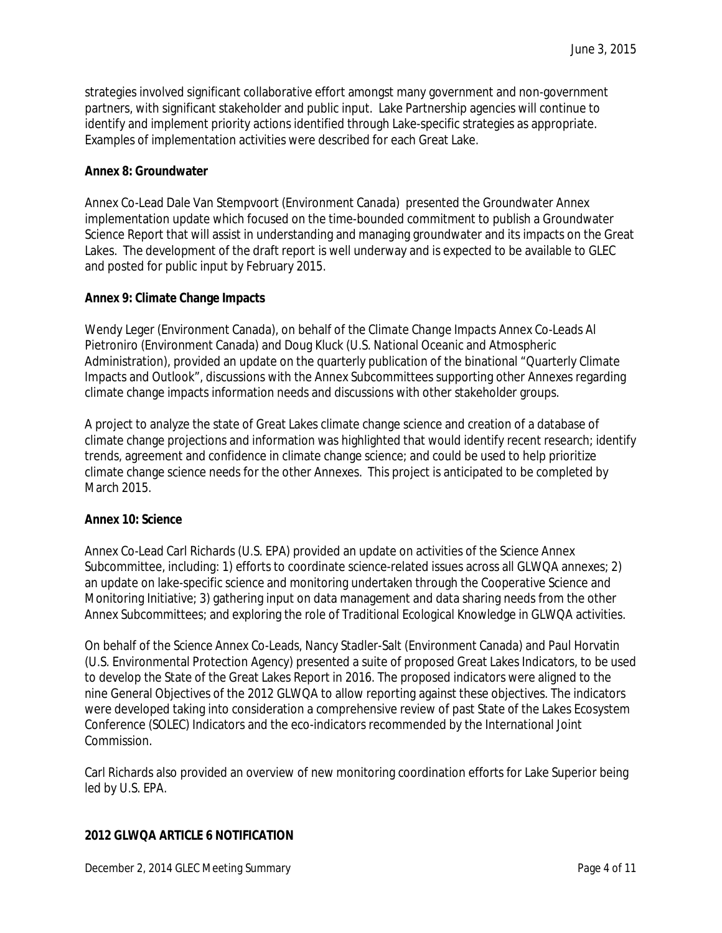strategies involved significant collaborative effort amongst many government and non-government partners, with significant stakeholder and public input. Lake Partnership agencies will continue to identify and implement priority actions identified through Lake-specific strategies as appropriate. Examples of implementation activities were described for each Great Lake.

# **Annex 8: Groundwater**

Annex Co-Lead Dale Van Stempvoort (Environment Canada) presented the *Groundwater* Annex implementation update which focused on the time-bounded commitment to publish a Groundwater Science Report that will assist in understanding and managing groundwater and its impacts on the Great Lakes. The development of the draft report is well underway and is expected to be available to GLEC and posted for public input by February 2015.

### **Annex 9: Climate Change Impacts**

Wendy Leger (Environment Canada), on behalf of the *Climate Change Impacts* Annex Co-Leads Al Pietroniro (Environment Canada) and Doug Kluck (U.S. National Oceanic and Atmospheric Administration), provided an update on the quarterly publication of the binational "Quarterly Climate Impacts and Outlook", discussions with the Annex Subcommittees supporting other Annexes regarding climate change impacts information needs and discussions with other stakeholder groups.

A project to analyze the state of Great Lakes climate change science and creation of a database of climate change projections and information was highlighted that would identify recent research; identify trends, agreement and confidence in climate change science; and could be used to help prioritize climate change science needs for the other Annexes. This project is anticipated to be completed by March 2015.

### **Annex 10: Science**

Annex Co-Lead Carl Richards (U.S. EPA) provided an update on activities of the *Science* Annex Subcommittee, including: 1) efforts to coordinate science-related issues across all GLWQA annexes; 2) an update on lake-specific science and monitoring undertaken through the Cooperative Science and Monitoring Initiative; 3) gathering input on data management and data sharing needs from the other Annex Subcommittees; and exploring the role of Traditional Ecological Knowledge in GLWQA activities.

On behalf of the *Science* Annex Co-Leads, Nancy Stadler-Salt (Environment Canada) and Paul Horvatin (U.S. Environmental Protection Agency) presented a suite of proposed Great Lakes Indicators, to be used to develop the State of the Great Lakes Report in 2016. The proposed indicators were aligned to the nine General Objectives of the 2012 GLWQA to allow reporting against these objectives. The indicators were developed taking into consideration a comprehensive review of past State of the Lakes Ecosystem Conference (SOLEC) Indicators and the eco-indicators recommended by the International Joint Commission.

Carl Richards also provided an overview of new monitoring coordination efforts for Lake Superior being led by U.S. EPA.

# **2012 GLWQA ARTICLE 6 NOTIFICATION**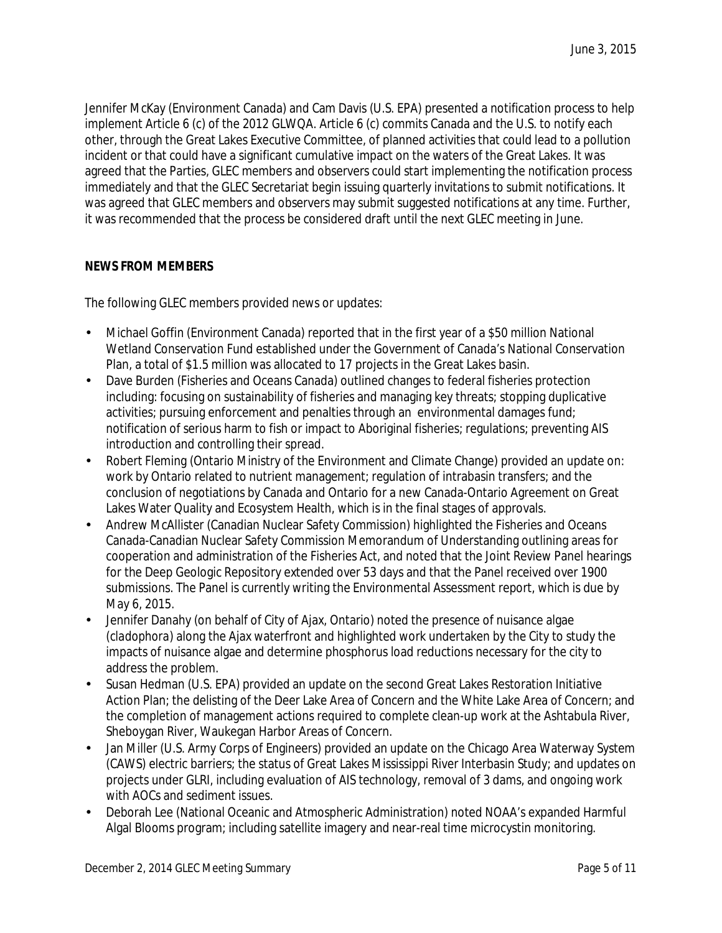Jennifer McKay (Environment Canada) and Cam Davis (U.S. EPA) presented a notification process to help implement Article 6 (c) of the 2012 GLWQA. Article 6 (c) commits Canada and the U.S. to notify each other, through the Great Lakes Executive Committee, of planned activities that could lead to a pollution incident or that could have a significant cumulative impact on the waters of the Great Lakes. It was agreed that the Parties, GLEC members and observers could start implementing the notification process immediately and that the GLEC Secretariat begin issuing quarterly invitations to submit notifications. It was agreed that GLEC members and observers may submit suggested notifications at any time. Further, it was recommended that the process be considered draft until the next GLEC meeting in June.

# **NEWS FROM MEMBERS**

The following GLEC members provided news or updates:

- Michael Goffin (Environment Canada) reported that in the first year of a \$50 million National Wetland Conservation Fund established under the Government of Canada's National Conservation Plan, a total of \$1.5 million was allocated to 17 projects in the Great Lakes basin.
- Dave Burden (Fisheries and Oceans Canada) outlined changes to federal fisheries protection including: focusing on sustainability of fisheries and managing key threats; stopping duplicative activities; pursuing enforcement and penalties through an environmental damages fund; notification of serious harm to fish or impact to Aboriginal fisheries; regulations; preventing AIS introduction and controlling their spread.
- Robert Fleming (Ontario Ministry of the Environment and Climate Change) provided an update on: work by Ontario related to nutrient management; regulation of intrabasin transfers; and the conclusion of negotiations by Canada and Ontario for a new Canada-Ontario Agreement on Great Lakes Water Quality and Ecosystem Health, which is in the final stages of approvals.
- Andrew McAllister (Canadian Nuclear Safety Commission) highlighted the Fisheries and Oceans Canada-Canadian Nuclear Safety Commission Memorandum of Understanding outlining areas for cooperation and administration of the Fisheries Act, and noted that the Joint Review Panel hearings for the Deep Geologic Repository extended over 53 days and that the Panel received over 1900 submissions. The Panel is currently writing the Environmental Assessment report, which is due by May 6, 2015.
- Jennifer Danahy (on behalf of City of Ajax, Ontario) noted the presence of nuisance algae (*cladophora*) along the Ajax waterfront and highlighted work undertaken by the City to study the impacts of nuisance algae and determine phosphorus load reductions necessary for the city to address the problem.
- Susan Hedman (U.S. EPA) provided an update on the second Great Lakes Restoration Initiative Action Plan; the delisting of the Deer Lake Area of Concern and the White Lake Area of Concern; and the completion of management actions required to complete clean-up work at the Ashtabula River, Sheboygan River, Waukegan Harbor Areas of Concern.
- Jan Miller (U.S. Army Corps of Engineers) provided an update on the Chicago Area Waterway System (CAWS) electric barriers; the status of Great Lakes Mississippi River Interbasin Study; and updates on projects under GLRI, including evaluation of AIS technology, removal of 3 dams, and ongoing work with AOCs and sediment issues*.*
- Deborah Lee (National Oceanic and Atmospheric Administration) noted NOAA's expanded Harmful Algal Blooms program; including satellite imagery and near-real time microcystin monitoring*.*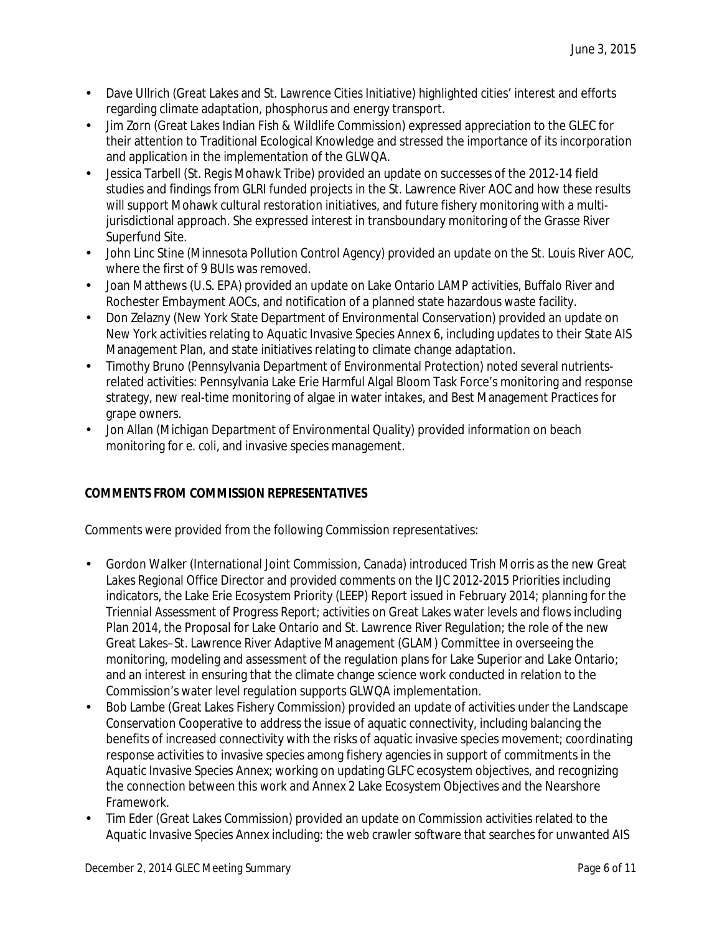- Dave Ullrich (Great Lakes and St. Lawrence Cities Initiative) highlighted cities' interest and efforts regarding climate adaptation, phosphorus and energy transport.
- Jim Zorn (Great Lakes Indian Fish & Wildlife Commission) expressed appreciation to the GLEC for their attention to Traditional Ecological Knowledge and stressed the importance of its incorporation and application in the implementation of the GLWQA*.*
- Jessica Tarbell (St. Regis Mohawk Tribe) provided an update on successes of the 2012-14 field studies and findings from GLRI funded projects in the St. Lawrence River AOC and how these results will support Mohawk cultural restoration initiatives, and future fishery monitoring with a multijurisdictional approach. She expressed interest in transboundary monitoring of the Grasse River Superfund Site.
- John Linc Stine (Minnesota Pollution Control Agency) provided an update on the St. Louis River AOC, where the first of 9 BUIs was removed.
- Joan Matthews (U.S. EPA) provided an update on Lake Ontario LAMP activities, Buffalo River and Rochester Embayment AOCs, and notification of a planned state hazardous waste facility.
- Don Zelazny (New York State Department of Environmental Conservation) provided an update on New York activities relating to Aquatic Invasive Species Annex 6, including updates to their State AIS Management Plan, and state initiatives relating to climate change adaptation.
- Timothy Bruno (Pennsylvania Department of Environmental Protection) noted several nutrientsrelated activities: Pennsylvania Lake Erie Harmful Algal Bloom Task Force's monitoring and response strategy, new real-time monitoring of algae in water intakes, and Best Management Practices for grape owners.
- Jon Allan (Michigan Department of Environmental Quality) provided information on beach monitoring for *e. coli*, and invasive species management.

# **COMMENTS FROM COMMISSION REPRESENTATIVES**

Comments were provided from the following Commission representatives:

- Gordon Walker (International Joint Commission, Canada) introduced Trish Morris as the new Great Lakes Regional Office Director and provided comments on the IJC 2012-2015 Priorities including indicators, the Lake Erie Ecosystem Priority (LEEP) Report issued in February 2014; planning for the *Triennial Assessment of Progress Report*; activities on Great Lakes water levels and flows including Plan 2014, the Proposal for Lake Ontario and St. Lawrence River Regulation; the role of the new Great Lakes–St. Lawrence River Adaptive Management (GLAM) Committee in overseeing the monitoring, modeling and assessment of the regulation plans for Lake Superior and Lake Ontario; and an interest in ensuring that the climate change science work conducted in relation to the Commission's water level regulation supports GLWQA implementation.
- Bob Lambe (Great Lakes Fishery Commission) provided an update of activities under the Landscape Conservation Cooperative to address the issue of aquatic connectivity, including balancing the benefits of increased connectivity with the risks of aquatic invasive species movement; coordinating response activities to invasive species among fishery agencies in support of commitments in the *Aquatic Invasive Species* Annex; working on updating GLFC ecosystem objectives, and recognizing the connection between this work and Annex 2 Lake Ecosystem Objectives and the Nearshore Framework.
- Tim Eder (Great Lakes Commission) provided an update on Commission activities related to the *Aquatic Invasive Species* Annex including: the web crawler software that searches for unwanted AIS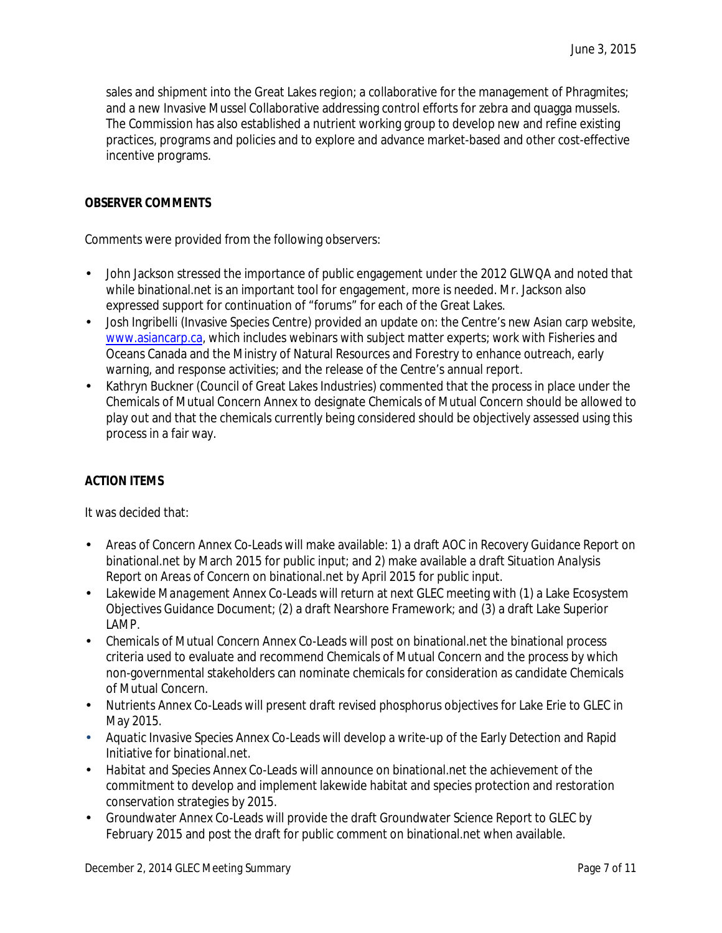sales and shipment into the Great Lakes region; a collaborative for the management of Phragmites; and a new Invasive Mussel Collaborative addressing control efforts for zebra and quagga mussels. The Commission has also established a nutrient working group to develop new and refine existing practices, programs and policies and to explore and advance market-based and other cost-effective incentive programs.

# **OBSERVER COMMENTS**

Comments were provided from the following observers:

- John Jackson stressed the importance of public engagement under the 2012 GLWQA and noted that while binational.net is an important tool for engagement, more is needed. Mr. Jackson also expressed support for continuation of "forums" for each of the Great Lakes.
- Josh Ingribelli (Invasive Species Centre) provided an update on: the Centre's new Asian carp website, [www.asiancarp.ca,](http://www.asiancarp.ca/) which includes webinars with subject matter experts; work with Fisheries and Oceans Canada and the Ministry of Natural Resources and Forestry to enhance outreach, early warning, and response activities; and the release of the Centre's annual report.
- Kathryn Buckner (Council of Great Lakes Industries) commented that the process in place under the Chemicals of Mutual Concern Annex to designate Chemicals of Mutual Concern should be allowed to play out and that the chemicals currently being considered should be objectively assessed using this process in a fair way.

# **ACTION ITEMS**

It was decided that:

- *Areas of Concern* Annex Co-Leads will make available: 1) a draft *AOC in Recovery Guidance Report* on binational.net by March 2015 for public input; and 2) make available a draft *Situation Analysis Report on Areas of Concern* on binational.net by April 2015 for public input.
- *Lakewide Management* Annex Co-Leads will return at next GLEC meeting with (1) a Lake Ecosystem  $\mathbf{r}$ Objectives Guidance Document; (2) a draft Nearshore Framework; and (3) a draft Lake Superior LAMP.
- *Chemicals of Mutual Concern* Annex Co-Leads will post on binational.net the binational process criteria used to evaluate and recommend Chemicals of Mutual Concern and the process by which non-governmental stakeholders can nominate chemicals for consideration as candidate Chemicals of Mutual Concern.
- *Nutrients* Annex Co-Leads will present draft revised phosphorus objectives for Lake Erie to GLEC in  $\mathbf{r}$ May 2015.
- *Aquatic Invasive Species* Annex Co-Leads will develop a write-up of the Early Detection and Rapid Initiative for binational.net.
- *Habitat and Species* Annex Co-Leads will announce on binational.net the achievement of the commitment to develop and implement lakewide habitat and species protection and restoration conservation strategies by 2015.
- *Groundwater* Annex Co-Leads will provide the draft Groundwater Science Report to GLEC by February 2015 and post the draft for public comment on binational.net when available.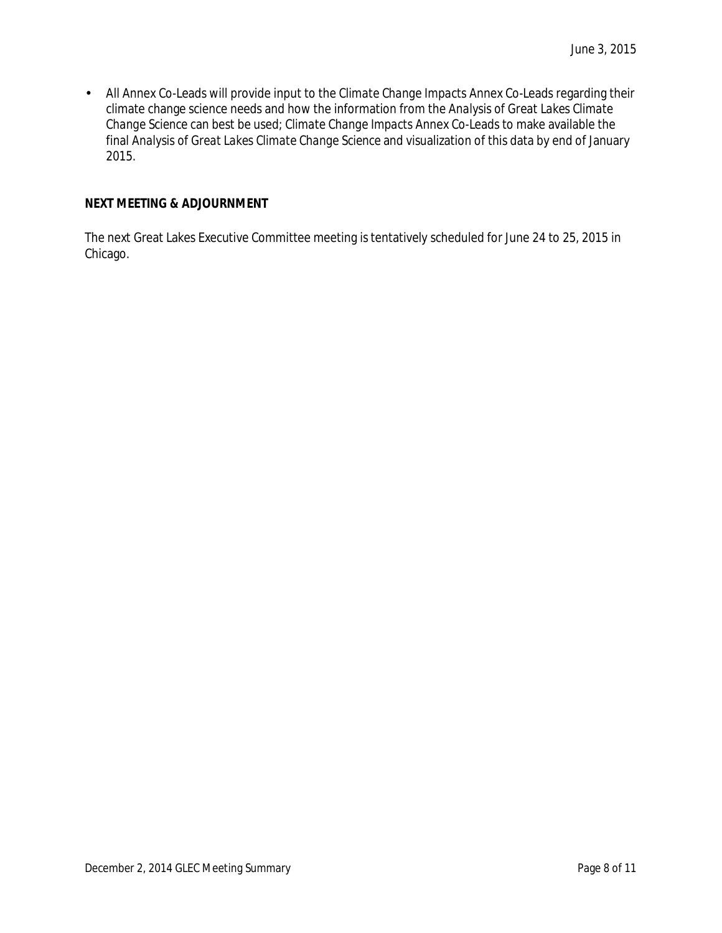$\mathcal{L}^{\pm}$ All Annex Co-Leads will provide input to the *Climate Change Impacts* Annex Co-Leads regarding their climate change science needs and how the information from the *Analysis of Great Lakes Climate Change Science* can best be used; *Climate Change Impacts* Annex Co-Leads to make available the final *Analysis of Great Lakes Climate Change Science* and visualization of this data by end of January 2015.

# **NEXT MEETING & ADJOURNMENT**

The next Great Lakes Executive Committee meeting is tentatively scheduled for June 24 to 25, 2015 in Chicago.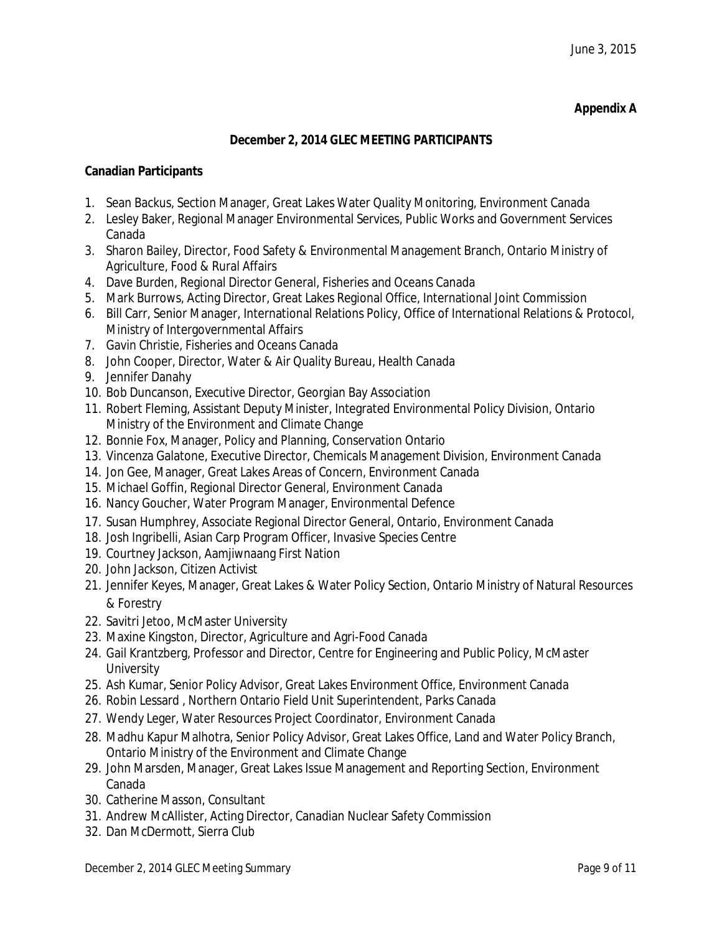# **Appendix A**

## **December 2, 2014 GLEC MEETING PARTICIPANTS**

## **Canadian Participants**

- 1. Sean Backus, Section Manager, Great Lakes Water Quality Monitoring, Environment Canada
- 2. Lesley Baker, Regional Manager Environmental Services, Public Works and Government Services Canada
- 3. Sharon Bailey, Director, Food Safety & Environmental Management Branch, Ontario Ministry of Agriculture, Food & Rural Affairs
- 4. Dave Burden, Regional Director General, Fisheries and Oceans Canada
- 5. Mark Burrows, Acting Director, Great Lakes Regional Office, International Joint Commission
- 6. Bill Carr, Senior Manager, International Relations Policy, Office of International Relations & Protocol, Ministry of Intergovernmental Affairs
- 7. Gavin Christie, Fisheries and Oceans Canada
- 8. John Cooper, Director, Water & Air Quality Bureau, Health Canada
- 9. Jennifer Danahy
- 10. Bob Duncanson, Executive Director, Georgian Bay Association
- 11. Robert Fleming, Assistant Deputy Minister, Integrated Environmental Policy Division, Ontario Ministry of the Environment and Climate Change
- 12. Bonnie Fox, Manager, Policy and Planning, Conservation Ontario
- 13. Vincenza Galatone, Executive Director, Chemicals Management Division, Environment Canada
- 14. Jon Gee, Manager, Great Lakes Areas of Concern, Environment Canada
- 15. Michael Goffin, Regional Director General, Environment Canada
- 16. Nancy Goucher, Water Program Manager, Environmental Defence
- 17. Susan Humphrey, Associate Regional Director General, Ontario, Environment Canada
- 18. Josh Ingribelli, Asian Carp Program Officer, Invasive Species Centre
- 19. Courtney Jackson, Aamjiwnaang First Nation
- 20. John Jackson, Citizen Activist
- 21. Jennifer Keyes, Manager, Great Lakes & Water Policy Section, Ontario Ministry of Natural Resources & Forestry
- 22. Savitri Jetoo, McMaster University
- 23. Maxine Kingston, Director, Agriculture and Agri-Food Canada
- 24. Gail Krantzberg, Professor and Director, Centre for Engineering and Public Policy, McMaster **University**
- 25. Ash Kumar, Senior Policy Advisor, Great Lakes Environment Office, Environment Canada
- 26. Robin Lessard , Northern Ontario Field Unit Superintendent, Parks Canada
- 27. Wendy Leger, Water Resources Project Coordinator, Environment Canada
- 28. Madhu Kapur Malhotra, Senior Policy Advisor, Great Lakes Office, Land and Water Policy Branch, Ontario Ministry of the Environment and Climate Change
- 29. John Marsden, Manager, Great Lakes Issue Management and Reporting Section, Environment Canada
- 30. Catherine Masson, Consultant
- 31. Andrew McAllister, Acting Director, Canadian Nuclear Safety Commission
- 32. Dan McDermott, Sierra Club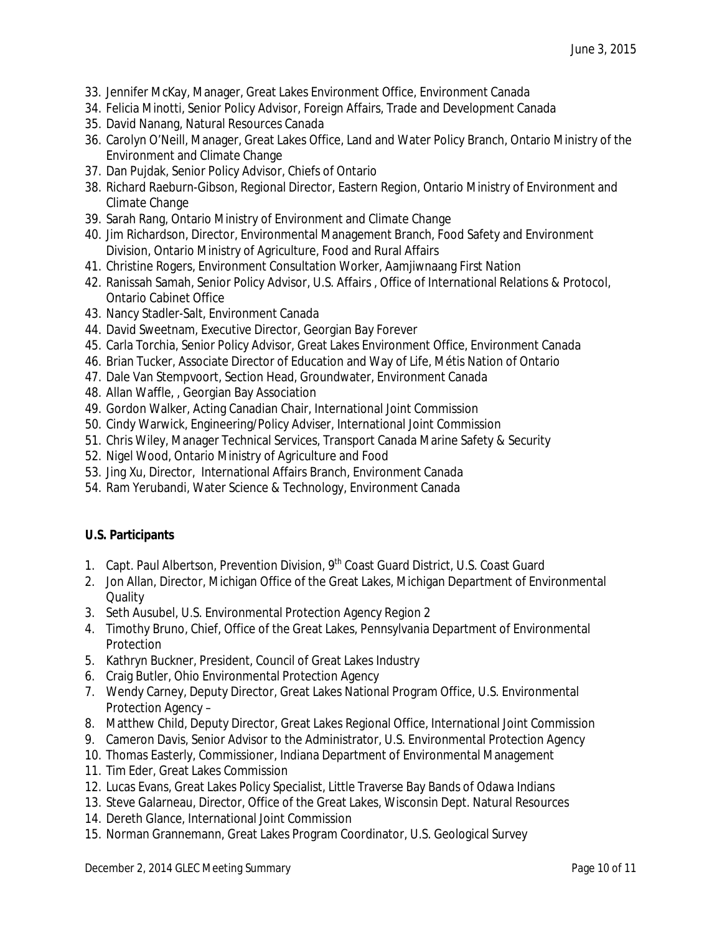- 33. Jennifer McKay, Manager, Great Lakes Environment Office, Environment Canada
- 34. Felicia Minotti, Senior Policy Advisor, Foreign Affairs, Trade and Development Canada
- 35. David Nanang, Natural Resources Canada
- 36. Carolyn O'Neill, Manager, Great Lakes Office, Land and Water Policy Branch, Ontario Ministry of the Environment and Climate Change
- 37. Dan Pujdak, Senior Policy Advisor, Chiefs of Ontario
- 38. Richard Raeburn-Gibson, Regional Director, Eastern Region, Ontario Ministry of Environment and Climate Change
- 39. Sarah Rang, Ontario Ministry of Environment and Climate Change
- 40. Jim Richardson, Director, Environmental Management Branch, Food Safety and Environment Division, Ontario Ministry of Agriculture, Food and Rural Affairs
- 41. Christine Rogers, Environment Consultation Worker, Aamjiwnaang First Nation
- 42. Ranissah Samah, Senior Policy Advisor, U.S. Affairs , Office of International Relations & Protocol, Ontario Cabinet Office
- 43. Nancy Stadler-Salt, Environment Canada
- 44. David Sweetnam, Executive Director, Georgian Bay Forever
- 45. Carla Torchia, Senior Policy Advisor, Great Lakes Environment Office, Environment Canada
- 46. Brian Tucker, Associate Director of Education and Way of Life, Métis Nation of Ontario
- 47. Dale Van Stempvoort, Section Head, Groundwater, Environment Canada
- 48. Allan Waffle, , Georgian Bay Association
- 49. Gordon Walker, Acting Canadian Chair, International Joint Commission
- 50. Cindy Warwick, Engineering/Policy Adviser, International Joint Commission
- 51. Chris Wiley, Manager Technical Services, Transport Canada Marine Safety & Security
- 52. Nigel Wood, Ontario Ministry of Agriculture and Food
- 53. Jing Xu, Director, International Affairs Branch, Environment Canada
- 54. Ram Yerubandi, Water Science & Technology, Environment Canada

# **U.S. Participants**

- 1. Capt. Paul Albertson, Prevention Division, 9<sup>th</sup> Coast Guard District, U.S. Coast Guard
- 2. Jon Allan, Director, Michigan Office of the Great Lakes, Michigan Department of Environmental **Quality**
- 3. Seth Ausubel, U.S. Environmental Protection Agency Region 2
- 4. Timothy Bruno, Chief, Office of the Great Lakes, Pennsylvania Department of Environmental Protection
- 5. Kathryn Buckner, President, Council of Great Lakes Industry
- 6. Craig Butler, Ohio Environmental Protection Agency
- 7. Wendy Carney, Deputy Director, Great Lakes National Program Office, U.S. Environmental Protection Agency –
- 8. Matthew Child, Deputy Director, Great Lakes Regional Office, International Joint Commission
- 9. Cameron Davis, Senior Advisor to the Administrator, U.S. Environmental Protection Agency
- 10. Thomas Easterly, Commissioner, Indiana Department of Environmental Management
- 11. Tim Eder, Great Lakes Commission
- 12. Lucas Evans, Great Lakes Policy Specialist, Little Traverse Bay Bands of Odawa Indians
- 13. Steve Galarneau, Director, Office of the Great Lakes, Wisconsin Dept. Natural Resources
- 14. Dereth Glance, International Joint Commission
- 15. Norman Grannemann, Great Lakes Program Coordinator, U.S. Geological Survey